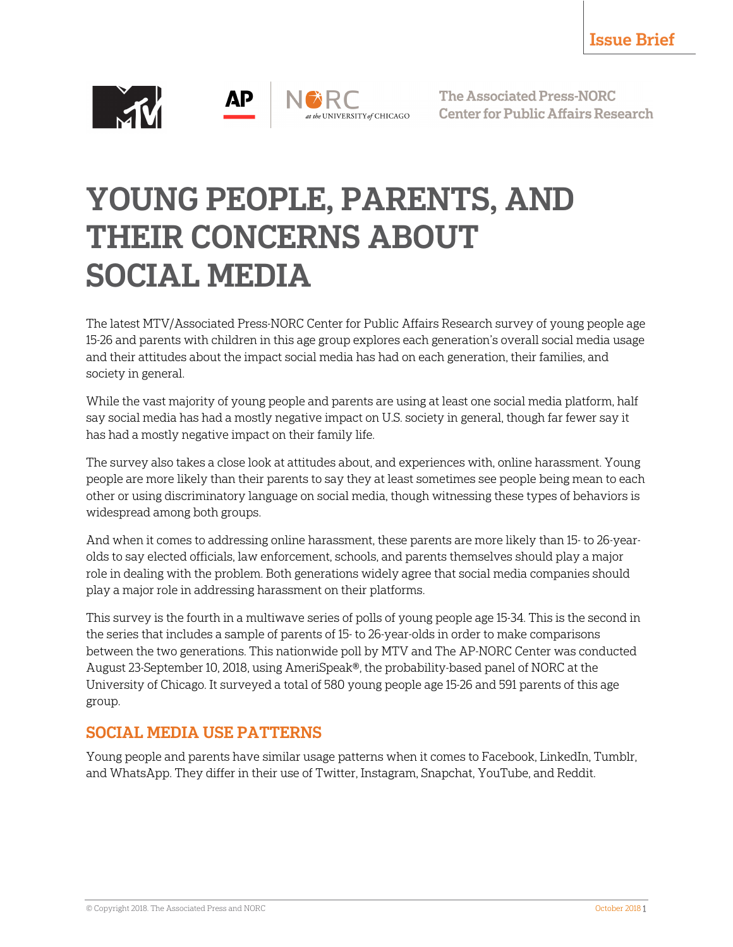

**The Associated Press-NORC Center for Public Affairs Research** 

# YOUNG PEOPLE, PARENTS, AND THEIR CONCERNS ABOUT SOCIAL MEDIA

The latest MTV/Associated Press-NORC Center for Public Affairs Research survey of young people age 15-26 and parents with children in this age group explores each generation's overall social media usage and their attitudes about the impact social media has had on each generation, their families, and society in general.

While the vast majority of young people and parents are using at least one social media platform, half say social media has had a mostly negative impact on U.S. society in general, though far fewer say it has had a mostly negative impact on their family life.

The survey also takes a close look at attitudes about, and experiences with, online harassment. Young people are more likely than their parents to say they at least sometimes see people being mean to each other or using discriminatory language on social media, though witnessing these types of behaviors is widespread among both groups.

And when it comes to addressing online harassment, these parents are more likely than 15- to 26-yearolds to say elected officials, law enforcement, schools, and parents themselves should play a major role in dealing with the problem. Both generations widely agree that social media companies should play a major role in addressing harassment on their platforms.

This survey is the fourth in a multiwave series of polls of young people age 15-34. This is the second in the series that includes a sample of parents of 15- to 26-year-olds in order to make comparisons between the two generations. This nationwide poll by MTV and The AP-NORC Center was conducted August 23-September 10, 2018, using AmeriSpeak®, the probability-based panel of NORC at the University of Chicago. It surveyed a total of 580 young people age 15-26 and 591 parents of this age group.

## SOCIAL MEDIA USE PATTERNS

Young people and parents have similar usage patterns when it comes to Facebook, LinkedIn, Tumblr, and WhatsApp. They differ in their use of Twitter, Instagram, Snapchat, YouTube, and Reddit.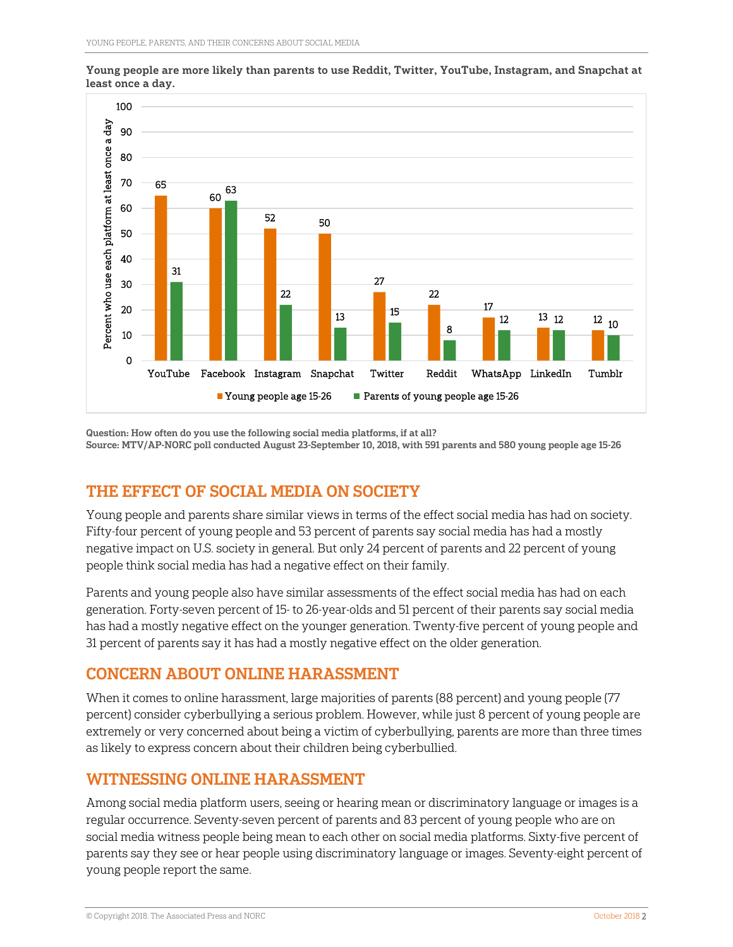

Young people are more likely than parents to use Reddit, Twitter, YouTube, Instagram, and Snapchat at least once a day.

Question: How often do you use the following social media platforms, if at all? Source: MTV/AP-NORC poll conducted August 23-September 10, 2018, with 591 parents and 580 young people age 15-26

### THE EFFECT OF SOCIAL MEDIA ON SOCIETY

Young people and parents share similar views in terms of the effect social media has had on society. Fifty-four percent of young people and 53 percent of parents say social media has had a mostly negative impact on U.S. society in general. But only 24 percent of parents and 22 percent of young people think social media has had a negative effect on their family.

Parents and young people also have similar assessments of the effect social media has had on each generation. Forty-seven percent of 15- to 26-year-olds and 51 percent of their parents say social media has had a mostly negative effect on the younger generation. Twenty-five percent of young people and 31 percent of parents say it has had a mostly negative effect on the older generation.

#### CONCERN ABOUT ONLINE HARASSMENT

When it comes to online harassment, large majorities of parents (88 percent) and young people (77 percent) consider cyberbullying a serious problem. However, while just 8 percent of young people are extremely or very concerned about being a victim of cyberbullying, parents are more than three times as likely to express concern about their children being cyberbullied.

#### WITNESSING ONLINE HARASSMENT

Among social media platform users, seeing or hearing mean or discriminatory language or images is a regular occurrence. Seventy-seven percent of parents and 83 percent of young people who are on social media witness people being mean to each other on social media platforms. Sixty-five percent of parents say they see or hear people using discriminatory language or images. Seventy-eight percent of young people report the same.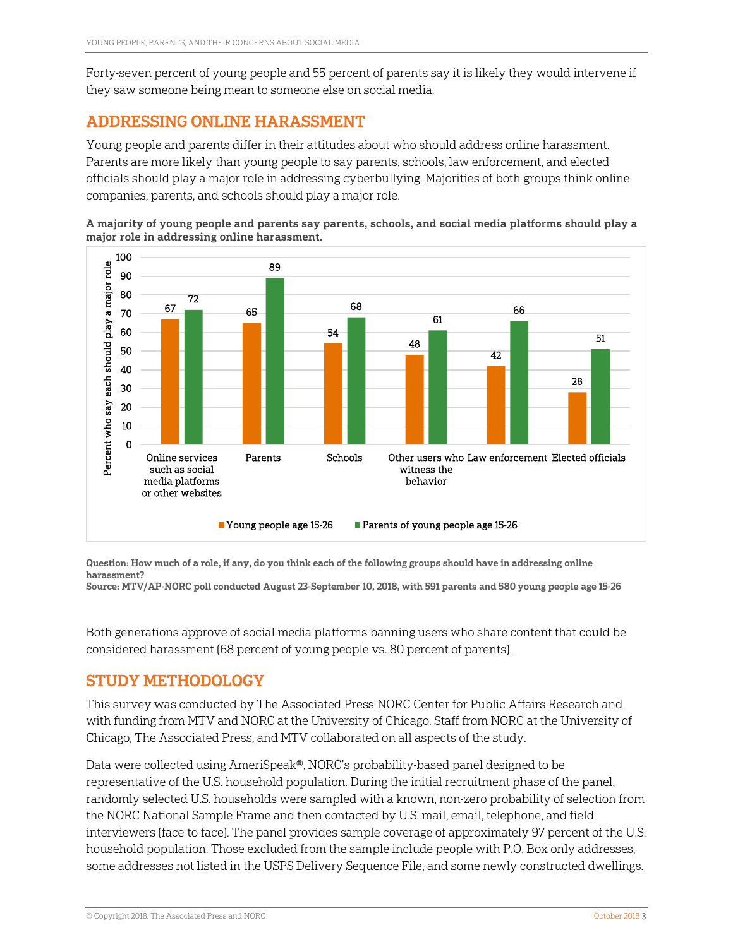Forty-seven percent of young people and 55 percent of parents say it is likely they would intervene if they saw someone being mean to someone else on social media.

#### ADDRESSING ONLINE HARASSMENT

Young people and parents differ in their attitudes about who should address online harassment. Parents are more likely than young people to say parents, schools, law enforcement, and elected officials should play a major role in addressing cyberbullying. Majorities of both groups think online companies, parents, and schools should play a major role.



A majority of young people and parents say parents, schools, and social media platforms should play a major role in addressing online harassment.

Question: How much of a role, if any, do you think each of the following groups should have in addressing online harassment?

Source: MTV/AP-NORC poll conducted August 23-September 10, 2018, with 591 parents and 580 young people age 15-26

Both generations approve of social media platforms banning users who share content that could be considered harassment (68 percent of young people vs. 80 percent of parents).

#### STUDY METHODOLOGY

This survey was conducted by The Associated Press-NORC Center for Public Affairs Research and with funding from MTV and NORC at the University of Chicago. Staff from NORC at the University of Chicago, The Associated Press, and MTV collaborated on all aspects of the study.

Data were collected using AmeriSpeak®, NORC's probability-based panel designed to be representative of the U.S. household population. During the initial recruitment phase of the panel, randomly selected U.S. households were sampled with a known, non-zero probability of selection from the NORC National Sample Frame and then contacted by U.S. mail, email, telephone, and field interviewers (face-to-face). The panel provides sample coverage of approximately 97 percent of the U.S. household population. Those excluded from the sample include people with P.O. Box only addresses, some addresses not listed in the USPS Delivery Sequence File, and some newly constructed dwellings.